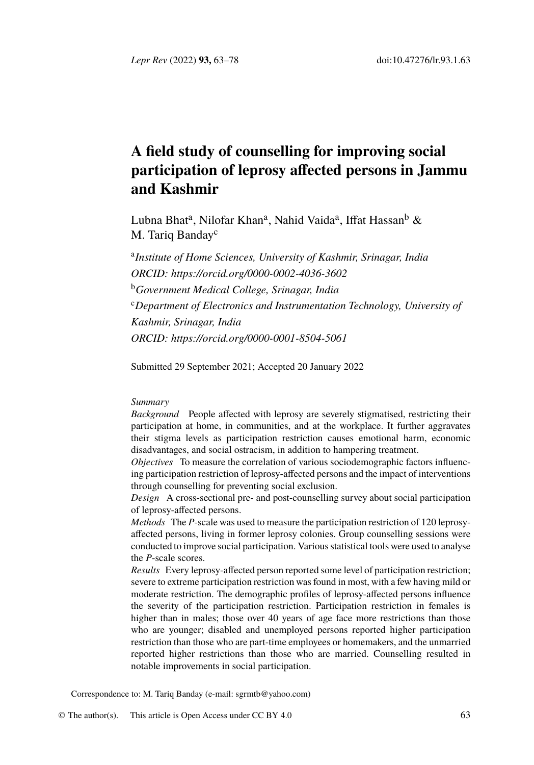*Lepr Rev* (2022) **93,** 63–78 doi:10.47276/lr.93.1.63

# **A fiel[d study of counselling for im](https://orcid.org/0000-0002-4036-3602)proving social participation of leprosy affected persons in Jammu and Kashmir**

Lubna [Bhat](https://orcid.org/0000-0001-8504-5061)<sup>[a](https://orcid.org/0000-0001-8504-5061)</sup>[, Nilofar Khan](https://orcid.org/0000-0001-8504-5061)<sup>a</sup>[, Nahid Vaida](https://orcid.org/0000-0001-8504-5061)<sup>a</sup>[, I](https://orcid.org/0000-0001-8504-5061)ffat Hassan<sup>b</sup> & M. Tariq Banday<sup>c</sup>

a *Institute of Home Sciences, University of Kashmir, Srinagar, India ORCID: https://orcid.org/0000-0002-4036-3602* <sup>b</sup>*Government Medical College, Srinagar, India* <sup>c</sup>*Department of Electronics and Instrumentation Technology, University of Kashmir, Srinagar, India ORCID: https://orcid.org/0000-0001-8504-5061*

Submitted 29 September 2021; Accepted 20 January 2022

## *Summary*

*Background* People affected with leprosy are severely stigmatised, restricting their participation at home, in communities, and at the workplace. It further aggravates their stigma levels as participation restriction causes emotional harm, economic disadvantages, and social ostracism, in addition to hampering treatment.

*Objectives* To measure the correlation of various sociodemographic factors influencing participation restriction of leprosy-affected persons and the impact of interventions through counselling for preventing social exclusion.

*Design* A cross-sectional pre- and post-counselling survey about social participation of leprosy-affected persons.

*Methods* The *P*-scale was used to measure the participation restriction of 120 leprosyaffected persons, living in former leprosy colonies. Group counselling sessions were conducted to improve social participation. Various statistical tools were used to analyse the *P*-scale scores.

*Results* Every leprosy-aff[ected person report](mailto:sgrmtb@yahoo.com)ed some level of participation restriction; severe to extreme participation restriction was found in most, with a few having mild or moderate restriction. The de[mographic p](http://creativecommons.org/licenses/by/4.0/)rofiles of leprosy-affected persons influence the severity of the participation restriction. Participation restriction in females is higher than in males; those over 40 years of age face more restrictions than those who are younger; disabled and unemployed persons reported higher participation restriction than those who are part-time employees or homemakers, and the unmarried reported higher restrictions than those who are married. Counselling resulted in notable improvements in social participation.

Correspondence to: M. Tariq Banday (e-mail: sgrmtb@yahoo.com)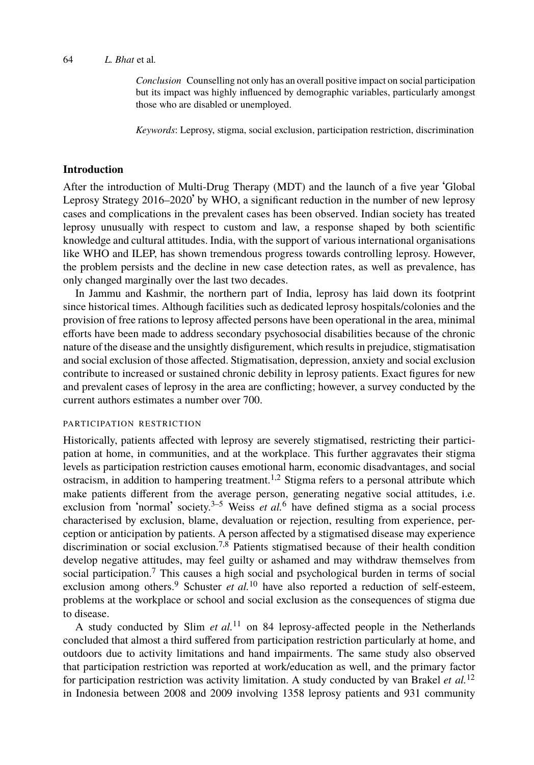*Conclusion* Counselling not only has an overall positive impact on social participation but its impact was highly influenced by demographic variables, particularly amongst those who are disabled or unemployed.

*Keywords*: Leprosy, stigma, social exclusion, participation restriction, discrimination

## **Introduction**

After the introduction of Multi-Drug Therapy (MDT) and the launch of a five year 'Global Leprosy Strategy 2016–2020' by WHO, a significant reduction in the number of new leprosy cases and complications in the prevalent cases has been observed. Indian society has treated leprosy unusually with respect to custom and law, a response shaped by both scientific knowledge and cultural attitudes. India, with the support of various international organisations like WHO and ILEP, has shown tremendous progress towards controlling leprosy. However, the problem persists and the decline in new case detection rates, as well as prevalence, has only changed marginally over the last two decades.

In Jammu and Kashmir, the northern part of India, leprosy has laid down its footprint since historical times. Although facilities such as dedicated leprosy hospitals/colonies and the provision of free rations to leprosy affected persons have been operational in the area, minimal efforts have been made to address secondary psychosocial disabilities because of the chronic nature of the disease and the unsightly disfigurement, which results in prejudice, stigmatisation and social exclusion of those affected. Stigmati[sa](#page-13-0)[ti](#page-13-1)on, depression, anxiety and social exclusion contribute to increased or sustained chronic debility in leprosy patients. Exact figures for new and prevalent cases of leprosy in [th](#page-13-2)[e](#page-13-3) area are con[fl](#page-13-4)icting; however, a survey conducted by the current authors estimates a number over 700.

## PARTICIPATION RESTRICTION

Historically, patients affected with leprosy are severely stigmatised, restricting their participation at home, in [co](#page-13-5)mmunities, and at the workplace. This further aggravates their stigma levels as participation re[str](#page-13-6)iction causes e[mo](#page-14-0)tional harm, economic disadvantages, and social ostracism, in addition to hampering treatment.<sup>1,2</sup> Stigma refers to a personal attribute which make patients different from the average person, generating negative social attitudes, i.e. exclusion from 'normal' society.<sup>3–5</sup> [We](#page-14-1)iss *et al.*<sup>6</sup> have defined stigma as a social process characterised by exclusion, blame, devaluation or rejection, resulting from experience, perception or anticipation by patients. A person affected by a stigmatised disease may experience discrimination or social exclusion.<sup>7,8</sup> Patients stigmatised because of their health condition develop negative attitudes, may feel guilty or ashamed and may withdraw themselves fro[m](#page-14-2) social participation.<sup>7</sup> This causes a high social and psychological burden in terms of social exclusion among others.<sup>9</sup> Schuster *et al.*<sup>10</sup> have also reported a reduction of self-esteem, problems at the workplace or school and social exclusion as the consequences of stigma due to disease.

A study conducted by Slim *et al.*<sup>11</sup> on 84 leprosy-affected people in the Netherlands concluded that almost a third suffered from participation restriction particularly at home, and outdoors due to activity limitations and hand impairments. The same study also observed that participation restriction was reported at work/education as well, and the primary factor for participation restriction was activity limitation. A study conducted by van Brakel *et al.*<sup>12</sup> in Indonesia between 2008 and 2009 involving 1358 leprosy patients and 931 community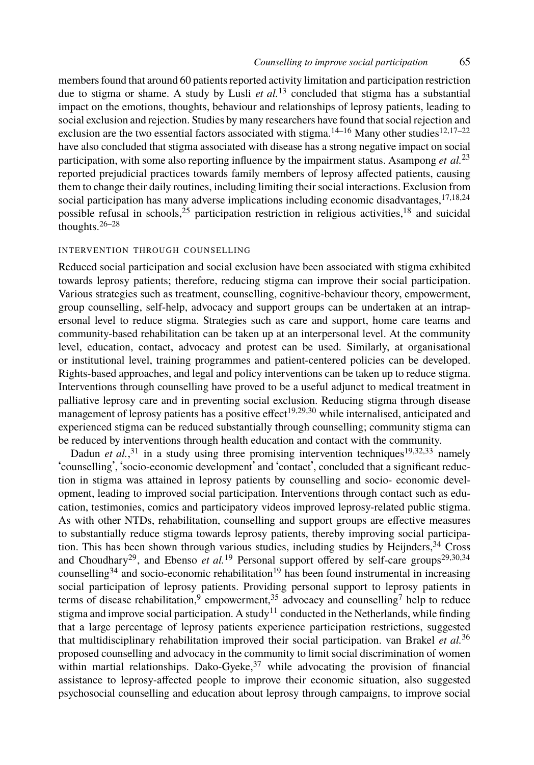members found that around 60 patients reported activity limitation and participation res[tri](#page-14-3)[cti](#page-14-4)[on](#page-14-5) due to stigma or shame. A [st](#page-14-6)udy by Lusli *et al.*<sup>13</sup> concluded that stigma h[as](#page-14-4) a substantial impact o[n t](#page-14-7)[he](#page-14-8) emotions, thoughts, behaviour and relationships of leprosy patients, leading to social exclusion and rejection. Studies by many researchers have found that social rejection and exclusion are the two essential factors associated with stigma.<sup>14–16</sup> Many other studies<sup>12,17–22</sup> have also concluded that stigma associated with disease has a strong negative impact on social participation, with some also reporting influence by the impairment status. Asampong *et al.*<sup>23</sup> reported prejudicial practices towards family members of leprosy affected patients, causing them to change their daily routines, including limiting their social interactions. Exclusion from social participation has many adverse implications including economic disadvantages, <sup>17,18,24</sup> possible refusal in schools,<sup>25</sup> participation restriction in religious activities,<sup>18</sup> and suicidal thoughts. $26-28$ 

## INTERVENTION THROUGH COUNSELLING

Reduced social participation and social exclusion have been associated with stigma exhibited towards leprosy patients; therefore, reducing stigma can improve their social participation. Various strategies such as treatment, counselling, c[og](#page-14-9)[nit](#page-14-10)[ive](#page-14-11)-behaviour theory, empowerment, group counselling, self-help, advocacy and support groups can be undertaken at an intrapersonal level to reduce stigma. Strategies such as care and support, home care teams and community-bas[ed](#page-14-12) rehabilitation can be taken up at an interpersonal level. At [th](#page-14-9)[e c](#page-14-13)[om](#page-14-14)munity level, education, contact, advocacy and protest can be used. Similarly, at organisational or institutional level, training programmes and patient-centered policies can be developed. Rights-based approaches, and legal and policy interventions can be taken up to reduce stigma. Interventions through counselling have proved to be a useful adjunct to medical treatment in palliative leprosy care and in preventing social exclusion. Reducing stigma through disease management of leprosy patients has a positive effect<sup>19,29,30</sup> while internalised, anticipated and experienced stigma can be reduced substantially through counselling; community st[igm](#page-14-15)[a c](#page-14-11)[an](#page-14-15) be reduced by i[nte](#page-14-10)rventions through [hea](#page-14-9)lth education and contact with the community[.](#page-14-10)

Dadun *[et a](#page-14-15)l.*,<sup>31</sup> in a study using three pro[misi](#page-14-9)ng intervention techniques<sup>19,32,33</sup> namely 'counselling', 'socio-economic development' and 'contact', concluded that a significant reduction in stigma was attained in [l](#page-13-6)eprosy patients [b](#page-14-16)y counselling and socio- [ec](#page-13-5)onomic development, leading to improved social participati[on.](#page-14-1) Interventions through contact such as education, testimonies, comics and participatory videos improved leprosy-related public stigma. As with other NTDs, rehabilitation, counselling and support groups are effective measu[res](#page-14-17) to substantially reduce stigma towards leprosy patients, thereby improving social participation. This has been shown through various [st](#page-15-0)udies, including studies by Heijnders,<sup>34</sup> Cross and Choudhary<sup>29</sup>, and Ebenso *et al.*<sup>19</sup> Personal support offered by self-care groups<sup>29,30,34</sup> counselling<sup>34</sup> and socio-economic rehabilitation<sup>19</sup> has been found instrumental in increasing social participation of leprosy patients. Providing personal support to leprosy patients in terms of disease rehabilitation,<sup>9</sup> empowerment,<sup>35</sup> advocacy and counselling<sup>7</sup> help to reduce stigma and improve social participation. A study<sup>11</sup> conducted in the Netherlands, while finding that a large percentage of leprosy patients experience participation restrictions, suggested that multidisciplinary rehabilitation improved their social participation. van Brakel *et al.*<sup>36</sup> proposed counselling and advocacy in the community to limit social discrimination of women within martial relationships. Dako-Gyeke, $37$  while advocating the provision of financial assistance to leprosy-affected people to improve their economic situation, also suggested psychosocial counselling and education about leprosy through campaigns, to improve social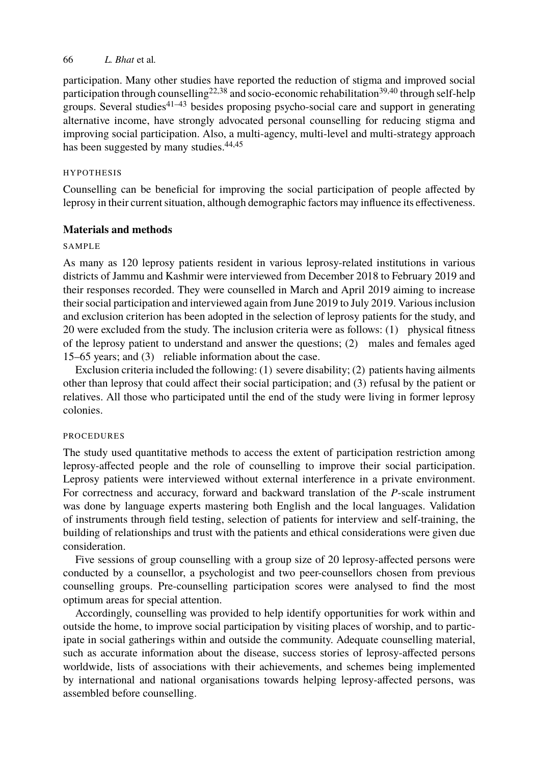participation. Many other studies have reported the reduction of stigma and improved social participation through counselling<sup>22,38</sup> and socio-economic rehabilitation<sup>39,40</sup> through self-help groups. Several studies<sup>41–43</sup> besides proposing psycho-social care and support in generating alternative income, have strongly advocated personal counselling for reducing stigma and improving social participation. Also, a multi-agency, multi-level and multi-strategy approach has been suggested by many studies.<sup>44,45</sup>

### HYPOTHESIS

Counselling can be beneficial for improving the social participation of people affected by leprosy in their current situation, although demographic factors may influence its effectiveness.

## **Materials and methods**

## SAMPLE

As many as 120 leprosy patients resident in various leprosy-related institutions in various districts of Jammu and Kashmir were interviewed from December 2018 to February 2019 and their responses recorded. They were counselled in March and April 2019 aiming to increase their social participation and interviewed again from June 2019 to July 2019. Various inclusion and exclusion criterion has been adopted in the selection of leprosy patients for the study, and 20 were excluded from the study. The inclusion criteria were as follows: (1) physical fitness of the leprosy patient to understand and answer the questions; (2) males and females aged 15–65 years; and (3) reliable information about the case.

Exclusion criteria included the following: (1) severe disability; (2) patients having ailments other than leprosy that could affect their social participation; and (3) refusal by the patient or relatives. All those who participated until the end of the study were living in former leprosy colonies.

## PROCEDURES

The study used quantitative methods to access the extent of participation restriction among leprosy-affected people and the role of counselling to improve their social participation. Leprosy patients were interviewed without external interference in a private environment. For correctness and accuracy, forward and backward translation of the *P*-scale instrument was done by language experts mastering both English and the local languages. Validation of instruments through field testing, selection of patients for interview and self-training, the building of relationships and trust with the patients and ethical considerations were given due consideration.

Five sessions of group counselling with a group size of 20 leprosy-affected persons were conducted by a counsellor, a psychologist and two peer-counsellors chosen from previous counselling groups. Pre-counselling participation scores were analysed to find the most optimum areas for special attention.

Accordingly, counselling was provided to help identify opportunities for work within and outside the home, to improve social participation by visiting places of worship, and to participate in social gatherings within and outside the community. Adequate counselling material, such as accurate information about the disease, success stories of leprosy-affected persons worldwide, lists of associations with their achievements, and schemes being implemented by international and national organisations towards helping leprosy-affected persons, was assembled before counselling.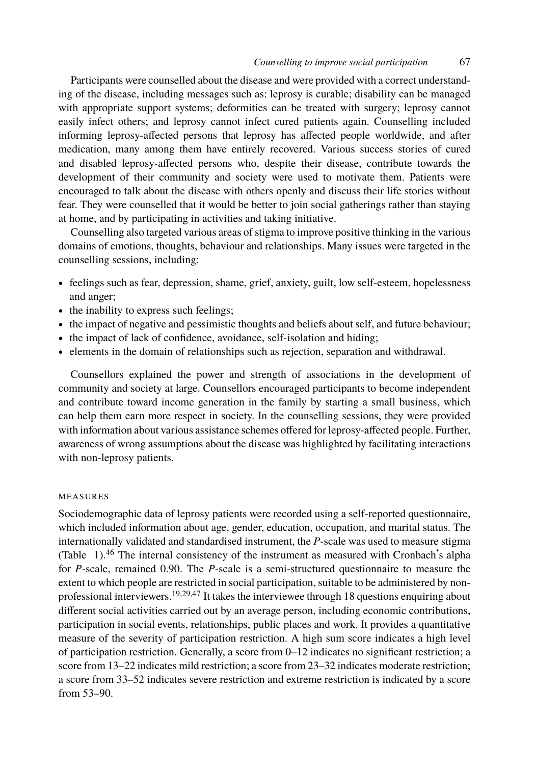Participants were counselled about the disease and were provided with a correct understanding of the disease, including messages such as: leprosy is curable; disability can be managed with appropriate support systems; deformities can be treated with surgery; leprosy cannot easily infect others; and leprosy cannot infect cured patients again. Counselling included informing leprosy-affected persons that leprosy has affected people worldwide, and after medication, many among them have entirely recovered. Various success stories of cured and disabled leprosy-affected persons who, despite their disease, contribute towards the development of their community and society were used to motivate them. Patients were encouraged to talk about the disease with others openly and discuss their life stories without fear. They were counselled that it would be better to join social gatherings rather than staying at home, and by participating in activities and taking initiative.

Counselling also targeted various areas of stigma to improve positive thinking in the various domains of emotions, thoughts, behaviour and relationships. Many issues were targeted in the counselling sessions, including:

- feelings such as fear, depression, shame, grief, anxiety, guilt, low self-esteem, hopelessness and anger;
- the inability to express such feelings;
- the impact of negative and pessimistic thoughts and beliefs about self, and future behaviour;
- the impact of lack of confidence, avoidance, self-isolation and hiding;
- elements in the domain of relationships such as rejection, separation and withdrawal.

Counsellors explained the power and strength of associations in the development of community and society at large. Counsellors encouraged participants to become independent and contribute toward income generation in the family by starting a small business, which can help them earn more respect in society. In the counselling sessions, they were provided with inf[or](#page-5-0)[ma](#page-15-1)tion about various assistance schemes offered for leprosy-affected people. Further, awareness of wrong assumptions about the disease was highlighted by facilitating interactions with non-leprosy patients.

## MEASURES

Sociodemographic data of leprosy patients were recorded using a self-reported questionnaire, which included information about age, gender, education, occupation, and marital status. The internationally validated and standardised instrument, the *P*-scale was used to measure stigma (Table 1).<sup>46</sup> The internal consistency of the instrument as measured with Cronbach's alpha for *P*-scale, remained 0.90. The *P*-scale is a semi-structured questionnaire to measure the extent to which people are restricted in social participation, suitable to be administered by nonprofessional interviewers.19,29,47 It takes the interviewee through 18 questions enquiring about different social activities carried out by an average person, including economic contributions, participation in social events, relationships, public places and work. It provides a quantitative measure of the severity of participation restriction. A high sum score indicates a high level of participation restriction. Generally, a score from 0–12 indicates no significant restriction; a score from 13–22 indicates mild restriction; a score from 23–32 indicates moderate restriction; a score from 33–52 indicates severe restriction and extreme restriction is indicated by a score from 53–90.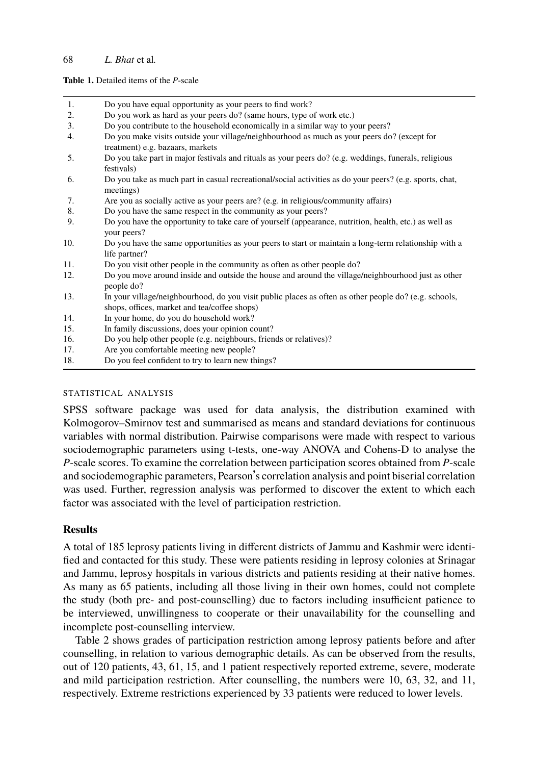#### <span id="page-5-0"></span>**Table 1.** Detailed items of the *P*-scale

| 1.  | Do you have equal opportunity as your peers to find work?                                                                                             |
|-----|-------------------------------------------------------------------------------------------------------------------------------------------------------|
| 2.  | Do you work as hard as your peers do? (same hours, type of work etc.)                                                                                 |
| 3.  | Do you contribute to the household economically in a similar way to your peers?                                                                       |
| 4.  | Do you make visits outside your village/neighbourhood as much as your peers do? (except for<br>treatment) e.g. bazaars, markets                       |
| 5.  | Do you take part in major festivals and rituals as your peers do? (e.g. weddings, funerals, religious<br>festivals)                                   |
| 6.  | Do you take as much part in casual recreational/social activities as do your peers? (e.g. sports, chat,<br>meetings)                                  |
| 7.  | Are you as socially active as your peers are? (e.g. in religious/community affairs)                                                                   |
| 8.  | Do you have the same respect in the community as your peers?                                                                                          |
| 9.  | Do you have the opportunity to take care of yourself (appearance, nutrition, health, etc.) as well as<br>your peers?                                  |
| 10. | Do you have the same opportunities as your peers to start or maintain a long-term relationship with a<br>life partner?                                |
| 11. | Do you visit other people in the community as often as other people do?                                                                               |
| 12. | Do you move around inside and outside the house and around the village/neighbourhood just as other<br>people do?                                      |
| 13. | In your village/neighbourhood, do you visit public places as often as other people do? (e.g. schools,<br>shops, offices, market and tea/coffee shops) |
| 14. | In your home, do you do household work?                                                                                                               |
| 15. | In family discussions, does your opinion count?                                                                                                       |
| 16. | Do you help other people (e.g. neighbours, friends or relatives)?                                                                                     |
|     |                                                                                                                                                       |

- 17. Are you comfortable meeting new people?
- 18. Do you feel confident to try to learn new things?

#### STATISTICAL ANALYSIS

SPSS software package was used for data analysis, the distribution examined with Kolmogorov–Smirnov test and summarised as means and standard deviations for continuous variables with normal distribution. Pairwise comparisons were made with respect to various sociodemographic parameters using t-tests, one-way ANOVA and Cohens-D to analyse the *P*-scale scores. To examine the correlation between participation scores obtained from *P*-scale and sociodemographic parameters, Pearson's correlation analysis and point biserial correlation was used. Further, regression analysis was performed to discover the extent to which each factor was associated with the level of participation restriction.

## **Results**

A total of 185 leprosy patients living in different districts of Jammu and Kashmir were identified and contacted for this study. These were patients residing in leprosy colonies at Srinagar and Jammu, leprosy hospitals in various districts and patients residing at their native homes. As many as 65 patients, including all those living in their own homes, could not complete the study (both pre- and post-counselling) due to factors including insufficient patience to be interviewed, unwillingness to cooperate or their unavailability for the counselling and incomplete post-counselling interview.

Table 2 shows grades of participation restriction among leprosy patients before and after counselling, in relation to various demographic details. As can be observed from the results, out of 120 patients, 43, 61, 15, and 1 patient respectively reported extreme, severe, moderate and mild participation restriction. After counselling, the numbers were 10, 63, 32, and 11, respectively. Extreme restrictions experienced by 33 patients were reduced to lower levels.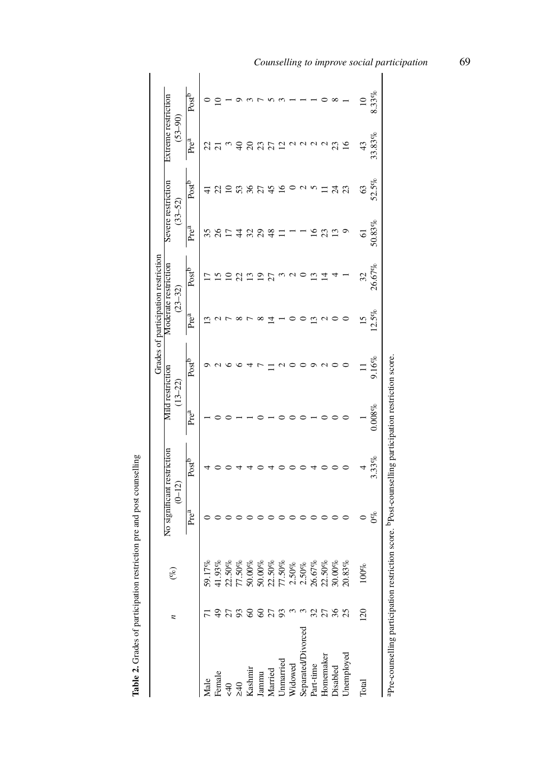|                    |                            |                                                                                                                                                      |                        |                                        |                                 |                   |                  | Grades of participation restriction |                                   |                   |                                    |                   |
|--------------------|----------------------------|------------------------------------------------------------------------------------------------------------------------------------------------------|------------------------|----------------------------------------|---------------------------------|-------------------|------------------|-------------------------------------|-----------------------------------|-------------------|------------------------------------|-------------------|
|                    | $\overline{a}$             | હે                                                                                                                                                   |                        | No significant restriction<br>$(0-12)$ | Mild restriction<br>$(13 - 22)$ |                   |                  | Moderate restriction<br>$(23 - 32)$ | Severe restriction<br>$(33 - 52)$ |                   | Extreme restriction<br>$(53 - 90)$ |                   |
|                    |                            |                                                                                                                                                      | Pre <sup>a</sup>       | Post <sup>b</sup>                      | Pre <sup>a</sup>                | Post <sup>b</sup> | Pre <sup>a</sup> | Post <sup>b</sup>                   | Prea                              | Post <sup>o</sup> | Prea                               | Post <sup>p</sup> |
| Male               |                            | 59.17%                                                                                                                                               |                        |                                        |                                 |                   |                  |                                     | 35                                |                   | 22                                 |                   |
| Female             |                            |                                                                                                                                                      |                        |                                        |                                 |                   |                  |                                     | 26                                |                   |                                    |                   |
| $\epsilon$ 40      |                            | $\begin{array}{l} 41.93\% \\ 21.50\% \\ 21.50\% \\ 50.00\% \\ 50.00\% \\ 50.00\% \\ 21.50\% \\ 21.50\% \\ 21.50\% \\ 21.50\% \\ 21.50\% \end{array}$ |                        |                                        |                                 |                   |                  |                                     |                                   |                   |                                    |                   |
| $\approx 40$       | 27                         |                                                                                                                                                      |                        |                                        |                                 |                   |                  |                                     |                                   |                   |                                    |                   |
| Kashmir            | $\mathcal{S}$              |                                                                                                                                                      |                        |                                        |                                 |                   |                  |                                     | 32                                |                   |                                    |                   |
| Jammu              | $\boldsymbol{\mathcal{S}}$ |                                                                                                                                                      |                        |                                        |                                 |                   |                  | ഉ                                   | 29                                |                   | 23                                 |                   |
| Married            | 27                         |                                                                                                                                                      |                        |                                        |                                 |                   |                  | ξ                                   | $\frac{8}{3}$                     | 45                | ζ                                  |                   |
| Unmarried          | 93                         |                                                                                                                                                      |                        |                                        |                                 |                   |                  |                                     |                                   | ≌                 | 2                                  |                   |
| Widowed            |                            |                                                                                                                                                      |                        |                                        |                                 |                   |                  |                                     |                                   |                   |                                    |                   |
| Separated/Divorced |                            |                                                                                                                                                      |                        |                                        |                                 |                   |                  |                                     |                                   |                   |                                    |                   |
| Part-time          |                            |                                                                                                                                                      |                        |                                        |                                 |                   |                  |                                     | ≗                                 |                   |                                    |                   |
| Homemaker          |                            |                                                                                                                                                      |                        |                                        |                                 |                   |                  |                                     | 23                                |                   |                                    |                   |
| Disabled           | 27<br>36<br>25             | $\begin{array}{l} 26.67\% \\ 22.50\% \\ 30.00\% \end{array}$                                                                                         |                        |                                        |                                 |                   |                  |                                     | 13                                | 24                | 23                                 |                   |
| Unemployed         |                            | 3%<br>20.83                                                                                                                                          |                        |                                        |                                 |                   |                  |                                     |                                   | 23                | $\overline{16}$                    |                   |
| Total              | $\approx$                  | ಕ್<br>$\approx$                                                                                                                                      |                        |                                        |                                 |                   | $\overline{15}$  | 32                                  | $\overline{6}$                    | $\mathcal{C}$     | 43                                 | $\approx$         |
|                    |                            |                                                                                                                                                      | $\mathfrak{S}^{\circ}$ | 3.33%                                  | 0.008%                          | 9.16%             | 12.5%            | 26.67%                              | 50.83%                            | 52.5%             | 33.83%                             | 8.33%             |

Table 2. Grades of participation restriction pre and post counselling **Table 2.** Grades of participation restriction pre and post counselling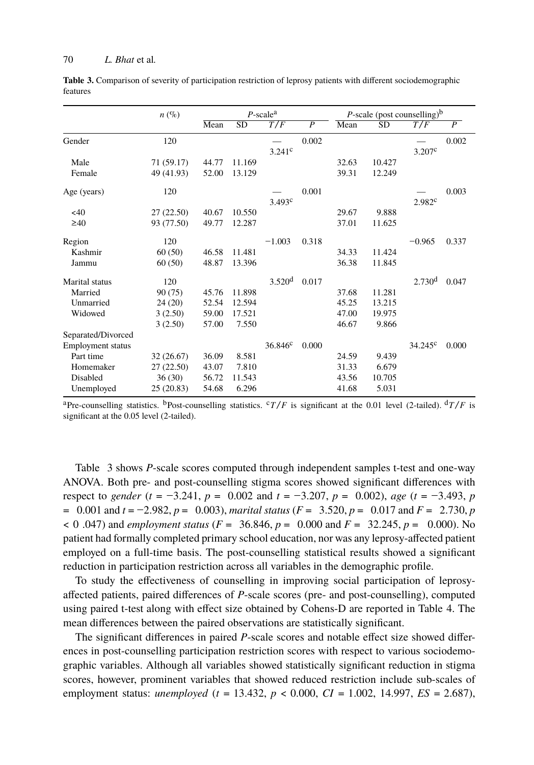<span id="page-7-0"></span>**Table 3.** Comparison of severity of participation restriction of leprosy patients with different sociodemographic features

|                    | $n \left( % \right)$ |       |        | $P$ -scale <sup>a</sup> |                |       | <i>P</i> -scale (post counselling) $b$ |                    |                |
|--------------------|----------------------|-------|--------|-------------------------|----------------|-------|----------------------------------------|--------------------|----------------|
|                    |                      | Mean  | SD     | T/F                     | $\overline{P}$ | Mean  | SD                                     | T/F                | $\overline{P}$ |
| Gender             | 120                  |       |        |                         | 0.002          |       |                                        |                    | 0.002          |
|                    |                      |       |        | 3.241c                  |                |       |                                        | 3.207c             |                |
| Male               | 71 (59.17)           | 44.77 | 11.169 |                         |                | 32.63 | 10.427                                 |                    |                |
| Female             | 49 (41.93)           | 52.00 | 13.129 |                         |                | 39.31 | 12.249                                 |                    |                |
| Age (years)        | 120                  |       |        |                         | 0.001          |       |                                        |                    | 0.003          |
|                    |                      |       |        | 3.493c                  |                |       |                                        | 2.982c             |                |
| < 40               | 27(22.50)            | 40.67 | 10.550 |                         |                | 29.67 | 9.888                                  |                    |                |
| $\geq 40$          | 93 (77.50)           | 49.77 | 12.287 |                         |                | 37.01 | 11.625                                 |                    |                |
| Region             | 120                  |       |        | $-1.003$                | 0.318          |       |                                        | $-0.965$           | 0.337          |
| Kashmir            | 60(50)               | 46.58 | 11.481 |                         |                | 34.33 | 11.424                                 |                    |                |
| Jammu              | 60(50)               | 48.87 | 13.396 |                         |                | 36.38 | 11.845                                 |                    |                |
| Marital status     | 120                  |       |        | 3.520 <sup>d</sup>      | 0.017          |       |                                        | 2.730 <sup>d</sup> | 0.047          |
| Married            | 90(75)               | 45.76 | 11.898 |                         |                | 37.68 | 11.281                                 |                    |                |
| Unmarried          | 24(20)               | 52.54 | 12.594 |                         |                | 45.25 | 13.215                                 |                    |                |
| Widowed            | 3(2.50)              | 59.00 | 17.521 |                         |                | 47.00 | 19.975                                 |                    |                |
|                    | 3(2.50)              | 57.00 | 7.550  |                         |                | 46.67 | 9.866                                  |                    |                |
| Separated/Divorced |                      |       |        |                         |                |       |                                        |                    |                |
| Employment status  |                      |       |        | $36.846^c$              | 0.000          |       |                                        | $34.245^{\circ}$   | 0.000          |
| Part time          | 32 (26.67)           | 36.09 | 8.581  |                         |                | 24.59 | 9.439                                  |                    |                |
| Homemaker          | 27(22.50)            | 43.07 | 7.810  |                         |                | 31.33 | 6.679                                  |                    |                |
| Disabled           | 36(30)               | 56.72 | 11.543 |                         |                | 43.56 | 10.705                                 |                    |                |
| Unemployed         | 25(20.83)            | 54.68 | 6.296  |                         |                | 41.68 | 5.031                                  |                    |                |

aPre-counselling statistics. <sup>b</sup>Post-counselling statistics. <sup>c</sup>T/*F* is significant at the 0.01 level (2-tailed).  $\frac{d}{dt}$ /*F* is significant at the 0.05 level (2-tailed).

Table 3 shows *P*-scale scores computed through independent samples t-test and one-way ANOVA. Both pre- and post-counselling stigma scores showed significant differences with respect to *gender* ( $t = -3.241$ ,  $p = 0.002$  and  $t = -3.207$ ,  $p = 0.002$ ), *age* ( $t = -3.493$  $t = -3.493$  $t = -3.493$ ,  $p$ = 0.001 and *t* = −2.982, *p* = 0.003), *marital status* (*F* = 3.520, *p* = 0.017 and *F* = 2.730, *p* < 0 .047) and *employment status* (*F* = 36.846, *p* = 0.000 and *F* = 32.245, *p* = 0.000). No patient had formally completed primary school education, nor was any leprosy-affected patient employed on a full-time basis. The post-counselling statistical results showed a significant reduction in participation restriction across all variables in the demographic profile.

To study the effectiveness of counselling in improving social participation of leprosyaffected patients, paired differences of *P*-scale scores (pre- and post-counselling), computed using paired t-test along with effect size obtained by Cohens-D are reported in Table 4. The mean differences between the paired observations are statistically significant.

The significant differences in paired *P*-scale scores and notable effect size showed differences in post-counselling participation restriction scores with respect to various sociodemographic variables. Although all variables showed statistically significant reduction in stigma scores, however, prominent variables that showed reduced restriction include sub-scales of employment status: *unemployed* (*t* = 13.432, *p* < 0.000, *CI* = 1.002, 14.997, *ES* = 2.687),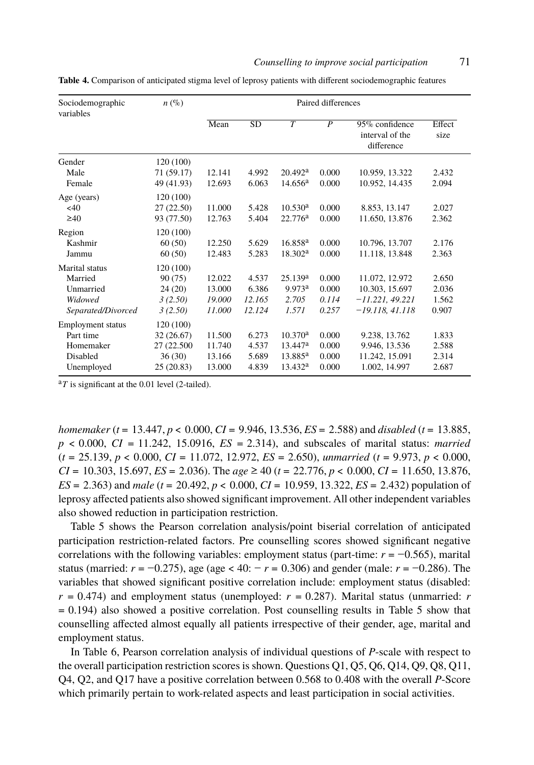<span id="page-8-0"></span>**Table 4.** Comparison of anticipated stigma level of leprosy patients with different sociodemographic features

| Sociodemographic<br>variables | $n\left(\%\right)$ |        |        | Paired differences  |       |                                                 |                |  |
|-------------------------------|--------------------|--------|--------|---------------------|-------|-------------------------------------------------|----------------|--|
|                               |                    | Mean   | SD     | $\overline{T}$      | P     | 95% confidence<br>interval of the<br>difference | Effect<br>size |  |
| Gender                        | 120 (100)          |        |        |                     |       |                                                 |                |  |
| Male                          | 71 (59.17)         | 12.141 | 4.992  | 20.492 <sup>a</sup> | 0.000 | 10.959, 13.322                                  | 2.432          |  |
| Female                        | 49 (41.93)         | 12.693 | 6.063  | 14.656 <sup>a</sup> | 0.000 | 10.952, 14.435                                  | 2.094          |  |
| Age (years)                   | 120(100)           |        |        |                     |       |                                                 |                |  |
| $<$ 40                        | 27(22.50)          | 11.000 | 5.428  | 10.530 <sup>a</sup> | 0.000 | 8.853, 13.147                                   | 2.027          |  |
| $\geq 40$                     | 93 (77.50)         | 12.763 | 5.404  | 22.776 <sup>a</sup> | 0.000 | 11.650, 13.876                                  | 2.362          |  |
| Region                        | 120 (100)          |        |        |                     |       |                                                 |                |  |
| Kashmir                       | 60(50)             | 12.250 | 5.629  | 16.858 <sup>a</sup> | 0.000 | 10.796, 13.707                                  | 2.176          |  |
| Jammu                         | 60(50)             | 12.483 | 5.283  | 18.302 <sup>a</sup> | 0.000 | 11.118, 13.848                                  | 2.363          |  |
| Marital status                | 120 (100)          |        |        |                     |       |                                                 |                |  |
| Married                       | 90(75)             | 12.022 | 4.537  | 25.139 <sup>a</sup> | 0.000 | 11.072, 12.972                                  | 2.650          |  |
| Unmarried                     | 24(20)             | 13.000 | 6.386  | 9.973 <sup>a</sup>  | 0.000 | 10.303, 15.697                                  | 2.036          |  |
| Widowed                       | 3(2.50)            | 19.000 | 12.165 | 2.705               | 0.114 | $-11.221, 49.221$                               | 1.562          |  |
| Separated/Divorced            | 3(2.50)            | 11.000 | 12.124 | 1.571               | 0.257 | $-19.118, 41.118$                               | 0.907          |  |
| <b>Employment</b> status      | 120 (100)          |        |        |                     |       |                                                 |                |  |
| Part time                     | 32(26.67)          | 11.500 | 6.273  | 10.370 <sup>a</sup> | 0.000 | 9.238, 13.762                                   | 1.833          |  |
| Homemaker                     | 27 (22.500)        | 11.740 | 4.537  | $13.447^{\rm a}$    | 0.000 | 9.946, 13.536                                   | 2.588          |  |
| Disabled                      | 36(30)             | 13.166 | 5.689  | 13.885 <sup>a</sup> | 0.000 | 11.242, 15.091                                  | 2.314          |  |
| Unemployed                    | 25(20.83)          | 13.000 | 4.839  | $13.432^{\rm a}$    | 0.000 | 1.002, 14.997                                   | 2.687          |  |

<sup>a</sup>T is significant at the 0.01 level (2-tailed).

*homemaker* (*t* = 13.447, *p* < 0.000, *CI* = 9.946, 13.536, *ES* = 2.588) and *disabled* (*t* = 13.885, *p* < 0.000, *CI* = 11.242, 15.0916, *ES* = 2.314), and subscales of marital status: *married* (*t* = 25.139, *p* < 0.000, *CI* = 11.072, 12.972, *ES* = 2.650), *unmarried* (*t* = 9.973, *p* < 0.000, *CI* = 10.303, 15.697, *ES* = 2.036). The *age* ≥ 40 (*t* = 22.776, *p* < 0.000, *CI* = 11.650, 13.876, *ES* = 2.363) and *male* (*t* = 20.492, *p* < 0.000, *CI* = 10.959, 13.322, *ES* = 2.432) [po](#page-9-0)pulation of leprosy affected patients also showed significant improvement. All other independent variables also showed reduction in participation restriction.

Table 5 [sh](#page-10-0)ows the Pearson correlation analysis/point biserial correlation of anticipated participation restriction-related factors. Pre counselling scores showed significant negative correlations with the following variables: employment status (part-time: *r* = −0.565), marital status (married: *r* = −0.275), age (age < 40: − *r* = 0.306) and gender (male: *r* = −0.286). The variables that showed significant positive correlation include: employment status (disabled:  $r = 0.474$ ) and employment status (unemployed:  $r = 0.287$ ). Marital status (unmarried: *r* = 0.194) also showed a positive correlation. Post counselling results in Table 5 show that counselling affected almost equally all patients irrespective of their gender, age, marital and employment status.

In Table 6, Pearson correlation analysis of individual questions of *P*-scale with respect to the overall participation restriction scores is shown. Questions Q1, Q5, Q6, Q14, Q9, Q8, Q11, Q4, Q2, and Q17 have a positive correlation between 0.568 to 0.408 with the overall *P*-Score which primarily pertain to work-related aspects and least participation in social activities.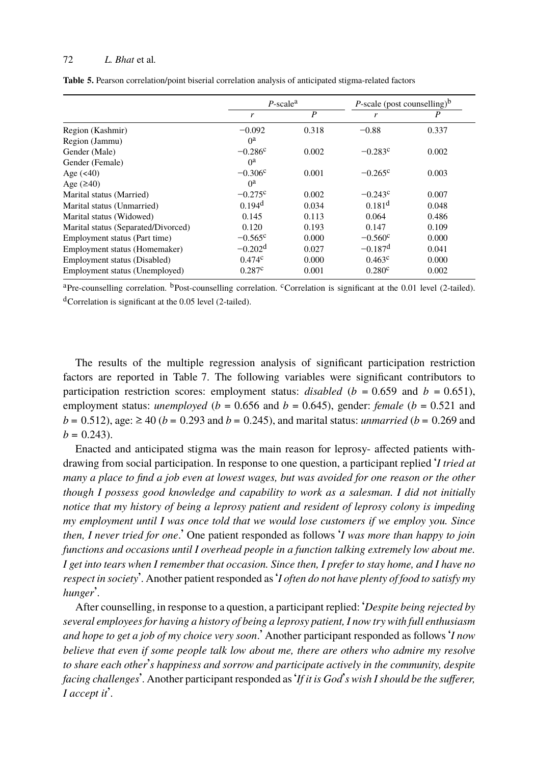<span id="page-9-0"></span>**Table 5.** Pearson correlation/point biserial correlation analysis of anticipated stigma-related factors

|                                     | $P$ -scale <sup>a</sup> |       | <i>P</i> -scale (post counselling) <sup>b</sup> |       |  |
|-------------------------------------|-------------------------|-------|-------------------------------------------------|-------|--|
|                                     | r                       | P     | r                                               | P     |  |
| Region (Kashmir)                    | $-0.092$                | 0.318 | $-0.88$                                         | 0.337 |  |
| Region (Jammu)                      | $0^a$                   |       |                                                 |       |  |
| Gender (Male)                       | $-0.286c$               | 0.002 | $-0.283c$                                       | 0.002 |  |
| Gender (Female)                     | $0^{\rm a}$             |       |                                                 |       |  |
| Age $(40)$                          | $-0.306c$               | 0.001 | $-0.265^{\circ}$                                | 0.003 |  |
| Age $(240)$                         | $0^{\rm a}$             |       |                                                 |       |  |
| Marital status (Married)            | $-0.275c$               | 0.002 | $-0.243c$                                       | 0.007 |  |
| Marital status (Unmarried)          | 0.194 <sup>d</sup>      | 0.034 | $0.181$ <sup>d</sup>                            | 0.048 |  |
| Marital status (Widowed)            | 0.145                   | 0.113 | 0.064                                           | 0.486 |  |
| Marital status (Separated/Divorced) | 0.120                   | 0.193 | 0.147                                           | 0.109 |  |
| Employment status (Part time)       | $-0.565^{\circ}$        | 0.000 | $-0.560^{\circ}$                                | 0.000 |  |
| Employment status (Homemaker)       | $-0.202d$               | 0.027 | $-0.187d$                                       | 0.041 |  |
| Employment status (Disabled)        | $0.474^c$               | 0.000 | $0.463^{\circ}$                                 | 0.000 |  |
| Employment status (Unemployed)      | 0.287c                  | 0.001 | 0.280c                                          | 0.002 |  |

aPre-counselling correlation. <sup>b</sup>Post-counselling correlation. <sup>c</sup>Correlation is significant at the 0.01 level (2-tailed). <sup>d</sup>Correlation is significant at the 0.05 level (2-tailed).

The results of the multiple regression analysis of significant participation restriction factors are reported in Table 7. The following variables were significant contributors to participation restriction scores: employment status: *disabled* ( $b = 0.659$  and  $b = 0.651$ ), employment status: *unemployed* ( $b = 0.656$  and  $b = 0.645$ ), gender: *female* ( $b = 0.521$  and *b* = 0.512), age:  $\geq$  40 (*b* = 0.293 and *b* = 0.245), and marital status: *unmarried* (*b* = 0.269 and  $b = 0.243$ .

Enacted and anticipated stigma was the main reason for leprosy- affected patients withdrawing from social participation. In response to one question, a participant replied '*I tried at many a place to find a job even at lowest wages, but was avoided for one reason or the other though I possess good knowledge and capability to work as a salesman. I did not initially notice that my history of being a leprosy patient and resident of leprosy colony is impeding my employment until I was once told that we would lose customers if we employ you. Since then, I never tried for one*.' One patient responded as follows '*I was more than happy to join functions and occasions until I overhead people in a function talking extremely low about me. I get into tears when I remember that occasion. Since then, I prefer to stay home, and I have no respect in society*'. Another patient responded as'*I often do not have plenty of food to satisfy my hunger*'.

After counselling, in response to a question, a participant replied: '*Despite being rejected by several employees for having a history of being a leprosy patient, I now try with full enthusiasm and hope to get a job of my choice very soon*.' Another participant responded as follows '*I now believe that even if some people talk low about me, there are others who admire my resolve to share each other*'*s happiness and sorrow and participate actively in the community, despite facing challenges*'. Another participant responded as'*If it is God*'*s wish I should be the sufferer, I accept it*'.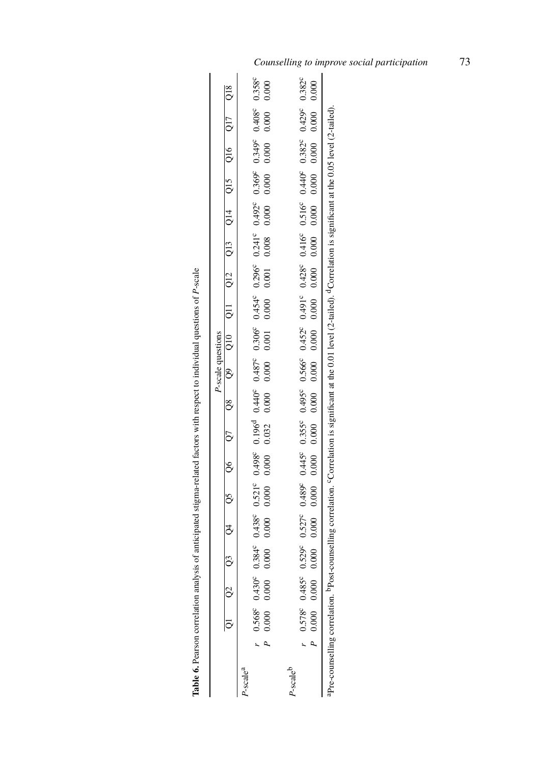<span id="page-10-0"></span>

| j                                                 |
|---------------------------------------------------|
| l<br>֧֢ׅ֦֧ׅ֧֧ׅ֧֦֧֚֚֚֚֚֚֚֚֬֓֓֡֓֓֓֓֡֓֓֓֕֓֓֓֡֜֓֓֝֬֜֓ |
|                                                   |
| Í                                                 |
|                                                   |
|                                                   |
| ł                                                 |
|                                                   |
| 7                                                 |
| ł                                                 |
| ֦֦֦֖֚֚֬֝֝֬֝֬                                      |
|                                                   |
|                                                   |
| ֖֦֦֦֖֚֚֚֚֚֡֝֝֝֬֝֬֝֬֝                              |
|                                                   |
|                                                   |
|                                                   |
| l                                                 |
| l<br>j                                            |
| į                                                 |
|                                                   |
|                                                   |
| j                                                 |
|                                                   |
|                                                   |
|                                                   |
|                                                   |
|                                                   |
|                                                   |
|                                                   |
| ì                                                 |
| J<br>ś                                            |
|                                                   |
| ١                                                 |
| l                                                 |
| $\ddot{\phantom{a}}$<br>l                         |
| į                                                 |
|                                                   |
| l                                                 |
|                                                   |
| 5                                                 |
|                                                   |
| 1                                                 |
|                                                   |
|                                                   |
|                                                   |
|                                                   |
| l                                                 |
|                                                   |
|                                                   |
|                                                   |
|                                                   |
|                                                   |
| ļ<br>l                                            |
| ŕ                                                 |
| Table'                                            |
|                                                   |
|                                                   |
|                                                   |

|                   |                                                                                                                                                                           | 0.358°                                                                                                                                                                                                                                                             | 0.000       |              | 0.382c                 | 0.000                                                                                                                                                                                                                            |                                                                                                                                                                                |
|-------------------|---------------------------------------------------------------------------------------------------------------------------------------------------------------------------|--------------------------------------------------------------------------------------------------------------------------------------------------------------------------------------------------------------------------------------------------------------------|-------------|--------------|------------------------|----------------------------------------------------------------------------------------------------------------------------------------------------------------------------------------------------------------------------------|--------------------------------------------------------------------------------------------------------------------------------------------------------------------------------|
|                   |                                                                                                                                                                           |                                                                                                                                                                                                                                                                    |             |              |                        |                                                                                                                                                                                                                                  |                                                                                                                                                                                |
|                   |                                                                                                                                                                           | 0.408c                                                                                                                                                                                                                                                             | 0.000       |              | 0.429c                 |                                                                                                                                                                                                                                  |                                                                                                                                                                                |
|                   |                                                                                                                                                                           | $-0.349c$                                                                                                                                                                                                                                                          | 0.000 0.000 |              |                        |                                                                                                                                                                                                                                  |                                                                                                                                                                                |
|                   |                                                                                                                                                                           |                                                                                                                                                                                                                                                                    |             |              |                        |                                                                                                                                                                                                                                  |                                                                                                                                                                                |
|                   |                                                                                                                                                                           |                                                                                                                                                                                                                                                                    |             |              |                        |                                                                                                                                                                                                                                  |                                                                                                                                                                                |
|                   |                                                                                                                                                                           |                                                                                                                                                                                                                                                                    |             |              |                        |                                                                                                                                                                                                                                  |                                                                                                                                                                                |
|                   |                                                                                                                                                                           |                                                                                                                                                                                                                                                                    |             |              |                        |                                                                                                                                                                                                                                  |                                                                                                                                                                                |
| P-scale questions | $\frac{518}{10}$ $\frac{518}{10}$ $\frac{518}{10}$ $\frac{518}{10}$ $\frac{518}{10}$ $\frac{518}{10}$ $\frac{518}{10}$ $\frac{518}{10}$ $\frac{518}{10}$ $\frac{518}{10}$ | $\begin{array}{cccccc} 0.384^c & 0.438^c & 0.521^c & 0.498^c & 0.196^d & 0.440^c & 0.437^c & 0.306^c & 0.454^c & 0.296^c & 0.241^c & 0.492^c & 0.369^c & 0.492^c & 0.569^c & 0.492^c & 0.569^c & 0.492^c & 0.569^c & 0.492^c & 0.569^c & 0.492^c & 0.569^c & 0.49$ |             |              |                        | $0.529^c$ $0.527^c$ $0.489^c$ $0.445^c$ $0.355^c$ $0.495^c$ $0.566^c$ $0.452^c$ $0.445^c$ $0.428^c$ $0.416^c$ $0.516^c$ $0.440^c$ $0.382^c$ $0.429^c$<br>$0.000$ $0.000$ $0.000$ $0.000$ $0.000$ $0.000$ $0.000$ $0.000$ $0.000$ |                                                                                                                                                                                |
|                   |                                                                                                                                                                           |                                                                                                                                                                                                                                                                    |             |              |                        |                                                                                                                                                                                                                                  |                                                                                                                                                                                |
|                   |                                                                                                                                                                           |                                                                                                                                                                                                                                                                    |             |              |                        |                                                                                                                                                                                                                                  |                                                                                                                                                                                |
|                   |                                                                                                                                                                           |                                                                                                                                                                                                                                                                    |             |              |                        |                                                                                                                                                                                                                                  |                                                                                                                                                                                |
|                   |                                                                                                                                                                           |                                                                                                                                                                                                                                                                    |             |              |                        |                                                                                                                                                                                                                                  |                                                                                                                                                                                |
|                   |                                                                                                                                                                           |                                                                                                                                                                                                                                                                    |             |              |                        |                                                                                                                                                                                                                                  |                                                                                                                                                                                |
|                   |                                                                                                                                                                           |                                                                                                                                                                                                                                                                    |             |              |                        |                                                                                                                                                                                                                                  |                                                                                                                                                                                |
|                   |                                                                                                                                                                           |                                                                                                                                                                                                                                                                    |             |              |                        |                                                                                                                                                                                                                                  |                                                                                                                                                                                |
|                   |                                                                                                                                                                           |                                                                                                                                                                                                                                                                    |             |              |                        |                                                                                                                                                                                                                                  |                                                                                                                                                                                |
|                   |                                                                                                                                                                           | $0.568^{\circ}$ 0.430 <sup>c</sup><br>0.000 0.000                                                                                                                                                                                                                  |             |              |                        |                                                                                                                                                                                                                                  |                                                                                                                                                                                |
|                   |                                                                                                                                                                           |                                                                                                                                                                                                                                                                    |             |              | $0.578^{\circ}$ 0.485° | $P$ 0.000 0.000                                                                                                                                                                                                                  |                                                                                                                                                                                |
|                   |                                                                                                                                                                           |                                                                                                                                                                                                                                                                    |             |              |                        |                                                                                                                                                                                                                                  |                                                                                                                                                                                |
|                   |                                                                                                                                                                           | <sup>2</sup> -scale <sup>a</sup>                                                                                                                                                                                                                                   |             | $-$ scal $e$ |                        |                                                                                                                                                                                                                                  | Pre-counselling correlation. PPost-counselling correlation. "Correlation is significant at the 0.01 level (2-tailed), "Correlation is significant at the 0.05 level (2-tailed) |

 $\ddot{\phantom{a}}$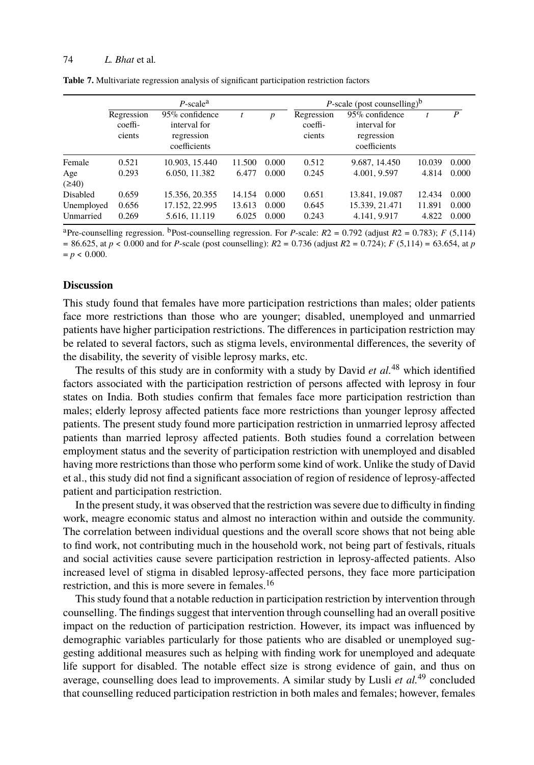**Table 7.** Multivariate regression analysis of significant participation restriction factors

|                         |                                 | $P$ -scale <sup>a</sup>                                      |        |                  | P-scale (post counselling) <sup>b</sup>  |                                                              |        |       |
|-------------------------|---------------------------------|--------------------------------------------------------------|--------|------------------|------------------------------------------|--------------------------------------------------------------|--------|-------|
|                         | Regression<br>coeffi-<br>cients | 95% confidence<br>interval for<br>regression<br>coefficients |        | $\boldsymbol{p}$ | Regression<br>$\text{coeff}$ -<br>cients | 95% confidence<br>interval for<br>regression<br>coefficients |        | P     |
| Female                  | 0.521                           | 10.903, 15.440                                               | 11.500 | 0.000            | 0.512                                    | 9.687, 14.450                                                | 10.039 | 0.000 |
| Age                     | 0.293                           | 6.050, 11.382                                                | 6.477  | 0.000            | 0.245                                    | 4.001, 9.597                                                 | 4.814  | 0.000 |
| $(\geq 40)$<br>Disabled | 0.659                           | 15.356, 20.355                                               | 14.154 | 0.000            | 0.651                                    | 13.841, 19.087                                               | 12.434 | 0.000 |
|                         |                                 |                                                              |        |                  |                                          |                                                              |        |       |
| Unemployed              | 0.656                           | 17.152, 22.995                                               | 13.613 | 0.000            | 0.645                                    | 15.339, 21.471                                               | 11.891 | 0.000 |
| Unmarried               | 0.269                           | 5.616, 11.119                                                | 6.025  | 0.000            | 0.243                                    | 4.141, 9.917                                                 | 4.822  | 0.000 |

<sup>a</sup>Pre-counselling regression. <sup>b</sup>Post-counselling regression. For *P*-scale:  $R2 = 0.792$  (adjust  $R2 = 0.783$ ); *F* (5,114) = 86.625, at *p* < 0.000 and for *P*-scale (post counselling): *R*2 = 0.736 (adjust *R*2 = 0.724); *F* [\(5](#page-15-2),114) = 63.654, at *p*  $=p < 0.000$ .

## **Discussion**

This study found that females have more participation restrictions than males; older patients face more restrictions than those who are younger; disabled, unemployed and unmarried patients have higher participation restrictions. The differences in participation restriction may be related to several factors, such as stigma levels, environmental differences, the severity of the disability, the severity of visible leprosy marks, etc.

The results of this study are in conformity with a study by David *et al.*<sup>48</sup> which identified factors associated with the participation restriction of persons affected with leprosy in four states on India. Both studies confirm that females face more participation restriction than males; elderly leprosy affected patients face more restrictions than younger leprosy affected patients. The present study found more participation restriction in unmarried leprosy affected patients than married leprosy affected patients. Both studies found a correlation between employment status and the severity of participation restriction with unemployed and disabled having more restrictions than those who perfo[rm](#page-14-18) some kind of work. Unlike the study of David et al., this study did not find a significant association of region of residence of leprosy-affected patient and participation restriction.

In the present study, it was observed that the restriction was severe due to difficulty in finding work, meagre economic status and almost no interaction within and outside the community. The correlation between individual questions and the overall score shows that not being able to find work, not contributing much in the household work, not being part of festivals, rituals and social activities cause severe participation restriction in leprosy-affected [pat](#page-15-3)ients. Also increased level of stigma in disabled leprosy-affected persons, they face more participation restriction, and this is more severe in females.<sup>16</sup>

This study found that a notable reduction in participation restriction by intervention through counselling. The findings suggest that intervention through counselling had an overall positive impact on the reduction of participation restriction. However, its impact was influenced by demographic variables particularly for those patients who are disabled or unemployed suggesting additional measures such as helping with finding work for unemployed and adequate life support for disabled. The notable effect size is strong evidence of gain, and thus on average, counselling does lead to improvements. A similar study by Lusli *et al.*<sup>49</sup> concluded that counselling reduced participation restriction in both males and females; however, females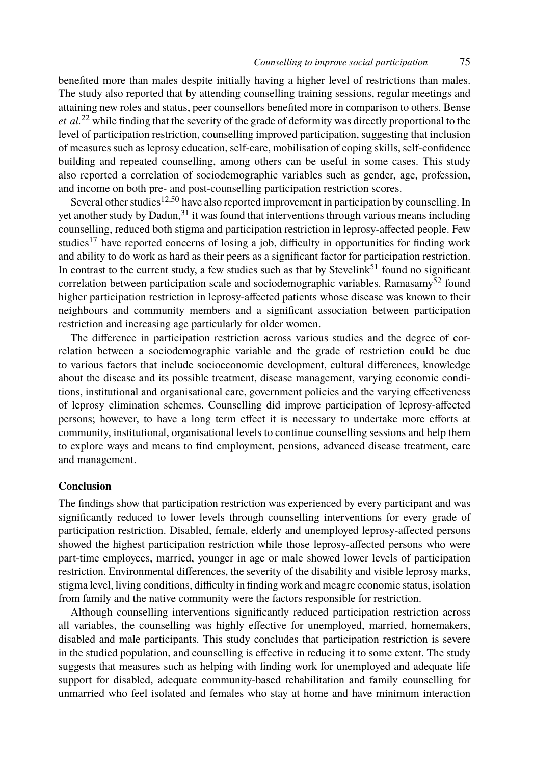benefited more than [mal](#page-14-2)[es](#page-15-4) despite initially having a higher level of restrictions than males. The study also reported tha[t b](#page-14-12)y attending counselling training sessions, regular meetings and attaining new roles and status, peer counsellors benefited more in comparison to others. Bense *et al.*<sup>22</sup> [w](#page-14-3)hile finding that the severity of the grade of deformity was directly proportional to the level of participation restriction, counselling improved participation, suggesting that inclusion of measures such as leprosy education, self-care, mobilisation of copin[g sk](#page-15-5)ills, self-confidence building and repeated counselling, among others can be useful in some cases. T[his](#page-15-6) study also reported a correlation of sociodemographic variables such as gender, age, profession, and income on both pre- and post-counselling participation restriction scores.

Several other studies<sup>12,50</sup> have also reported improvement in participation by counselling. In yet another study by Dadun, $31$  it was found that interventions through various means including counselling, reduced both stigma and participation restriction in leprosy-affected people. Few studies<sup>17</sup> have reported concerns of losing a job, difficulty in opportunities for finding work and ability to do work as hard as their peers as a significant factor for participation restriction. In contrast to the current study, a few studies such as that by Stevelink<sup>51</sup> found no significant correlation between participation scale and sociodemographic variables. Ramasamy<sup>52</sup> found higher participation restriction in leprosy-affected patients whose disease was known to their neighbours and community members and a significant association between participation restriction and increasing age particularly for older women.

The difference in participation restriction across various studies and the degree of correlation between a sociodemographic variable and the grade of restriction could be due to various factors that include socioeconomic development, cultural differences, knowledge about the disease and its possible treatment, disease management, varying economic conditions, institutional and organisational care, government policies and the varying effectiveness of leprosy elimination schemes. Counselling did improve participation of leprosy-affected persons; however, to have a long term effect it is necessary to undertake more efforts at community, institutional, organisational levels to continue counselling sessions and help them to explore ways and means to find employment, pensions, advanced disease treatment, care and management.

## **Conclusion**

The findings show that participation restriction was experienced by every participant and was significantly reduced to lower levels through counselling interventions for every grade of participation restriction. Disabled, female, elderly and unemployed leprosy-affected persons showed the highest participation restriction while those leprosy-affected persons who were part-time employees, married, younger in age or male showed lower levels of participation restriction. Environmental differences, the severity of the disability and visible leprosy marks, stigma level, living conditions, difficulty in finding work and meagre economic status, isolation from family and the native community were the factors responsible for restriction.

Although counselling interventions significantly reduced participation restriction across all variables, the counselling was highly effective for unemployed, married, homemakers, disabled and male participants. This study concludes that participation restriction is severe in the studied population, and counselling is effective in reducing it to some extent. The study suggests that measures such as helping with finding work for unemployed and adequate life support for disabled, adequate community-based rehabilitation and family counselling for unmarried who feel isolated and females who stay at home and have minimum interaction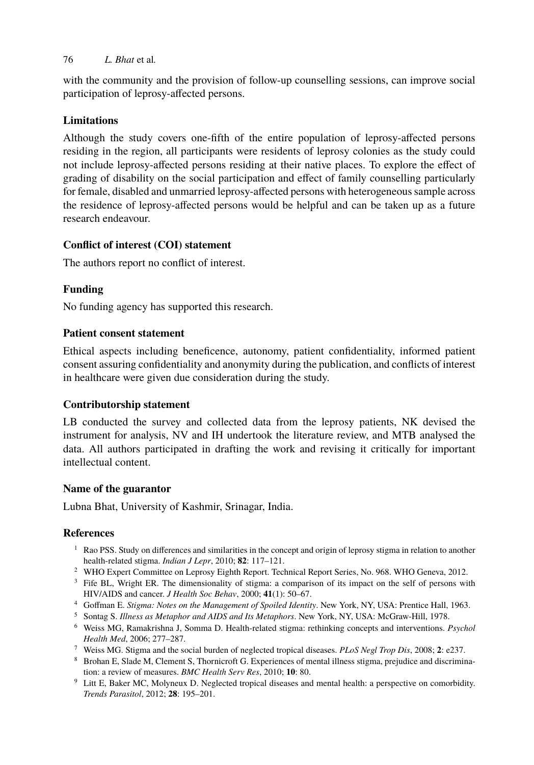with the community and the provision of follow-up counselling sessions, can improve social participation of leprosy-affected persons.

# **Limitations**

Although the study covers one-fifth of the entire population of leprosy-affected persons residing in the region, all participants were residents of leprosy colonies as the study could not include leprosy-affected persons residing at their native places. To explore the effect of grading of disability on the social participation and effect of family counselling particularly for female, disabled and unmarried leprosy-affected persons with heterogeneous sample across the residence of leprosy-affected persons would be helpful and can be taken up as a future research endeavour.

# **Conflict of interest (COI) statement**

The authors report no conflict of interest.

# **Funding**

No funding agency has supported this research.

# **Patient consent statement**

Ethical aspects including beneficence, autonomy, patient confidentiality, informed patient consent assuring confidentiality and anonymity during the publication, and conflicts of interest in healthcare were given due consideration during the study.

## **Contributorship statement**

LB conducted the survey and collected data from the leprosy patients, NK devised the instrument for analysis, NV and IH undertook the literature review, and MTB analysed the data. All authors participated in drafting the work and revising it critically for important intellectual content.

## **Name of the guarantor**

Lubna Bhat, University of Kashmir, Srinagar, India.

## <span id="page-13-0"></span>**References**

- $1$  Rao PSS. Study on differences and similarities in the concept and origin of leprosy stigma in relation to another health-related stigma. *Indian J Lepr*, 2010; **82**: 117–121.
- <span id="page-13-1"></span><sup>2</sup> WHO Expert Committee on Leprosy Eighth Report. Technical Report Series, No. 968. WHO Geneva, 2012.
- <span id="page-13-2"></span><sup>3</sup> Fife BL, Wright ER. The dimensionality of stigma: a comparison of its impact on the self of persons with HIV/AIDS and cancer. *J Health Soc Behav*, 2000; **41**(1): 50–67.
- <sup>4</sup> Goffman E. *Stigma: Notes on the Management of Spoiled Identity*. New York, NY, USA: Prentice Hall, 1963.
- <span id="page-13-3"></span><sup>5</sup> Sontag S. *Illness as Metaphor and AIDS and Its Metaphors*. New York, NY, USA: McGraw-Hill, 1978.
- <span id="page-13-4"></span><sup>6</sup> Weiss MG, Ramakrishna J, Somma D. Health-related stigma: rethinking concepts and interventions. *Psychol Health Med*, 2006; 277–287.
- <span id="page-13-5"></span><sup>7</sup> Weiss MG. Stigma and the social burden of neglected tropical diseases. *PLoS Negl Trop Dis*, 2008; **2**: e237.
- <sup>8</sup> Brohan E, Slade M, Clement S, Thornicroft G. Experiences of mental illness stigma, prejudice and discrimination: a review of measures. *BMC Health Serv Res*, 2010; **10**: 80.
- <span id="page-13-6"></span><sup>9</sup> Litt E, Baker MC, Molyneux D. Neglected tropical diseases and mental health: a perspective on comorbidity. *Trends Parasitol*, 2012; **28**: 195–201.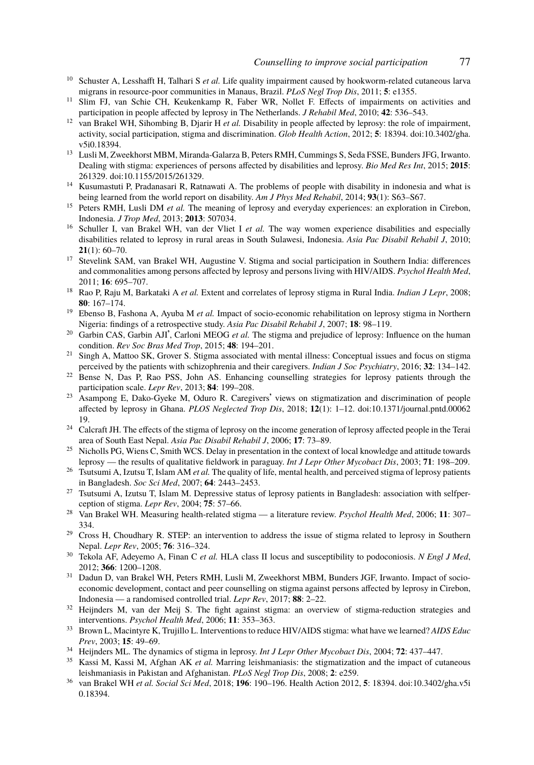- <span id="page-14-2"></span><span id="page-14-1"></span><span id="page-14-0"></span><sup>10</sup> Schuster A, Lesshafft H, Talhari S et al. Life quality impairment caused by hookworm-related cutaneous larva migrans in resource-poor communities in Manaus, Brazil. *PLoS Negl Trop Dis*, 2011; **5**: e1355.
- <span id="page-14-18"></span><sup>11</sup> Slim FJ, van Schie CH, Keukenkamp R, Faber WR, Nollet F. Effects of impairments on activities and participation in people affected by leprosy in The Netherlands. *J Rehabil Med*, 2010; **42**: 536–543.
- <sup>12</sup> van Brakel WH, Sihombing B, Djarir H *et al.* Disability in people affected by leprosy: the role of impairment, activity, social participation, stigma and discrimination. *Glob Health Action*, 2012; **5**: 18394. doi:10.3402/gha. v5i0.18394.
- <span id="page-14-3"></span><sup>13</sup> Lusli M, Zweekhorst MBM, Miranda-Galarza B, Peters RMH, Cummings S, Seda FSSE, Bunders JFG, Irwanto. Dealing with stigma: experiences of persons affected by disabilities and leprosy. *Bio Med Res Int*, 2015; **2015**: 261329. doi:10.1155/2015/261329.
- <span id="page-14-9"></span><span id="page-14-4"></span><sup>14</sup> Kusumastuti P, Pradanasari R, Ratnawati A. The problems of people with disability in indonesia and what is being learned from the world report on disability. *Am J Phys Med Rehabil*, 2014; **93**(1): S63–S67.
- <sup>15</sup> Peters RMH, Lusli DM *et al.* The meaning of leprosy and everyday experiences: an exploration in Cirebon, Indonesia. *J Trop Med*, 2013; **2013**: 507034.
- <sup>16</sup> Schuller I, van Brakel WH, van der Vliet I et al. The way women experience disabilities and especially disabilities related to leprosy in rural areas in South Sulawesi, Indonesia. *Asia Pac Disabil Rehabil J*, 2010; **21**(1): 60–70.
- <sup>17</sup> Stevelink SAM, van Brakel WH, Augustine V. Stigma and social participation in Southern India: differences and commonalities among persons affected by leprosy and persons living with HIV/AIDS. *Psychol Health Med*, 2011; **16**: 695–707.
- <sup>18</sup> Rao P, Raju M, Barkataki A *et al.* Extent and correlates of leprosy stigma in Rural [India.](http://dx.doi.org/10.1371/journal.pntd.0006219) *[Indian J Lepr](http://dx.doi.org/10.1371/journal.pntd.0006219)*[, 2008;](http://dx.doi.org/10.1371/journal.pntd.0006219) **[80](http://dx.doi.org/10.1371/journal.pntd.0006219)**: 167–174.
- <span id="page-14-5"></span><sup>19</sup> Ebenso B, Fashona A, Ayuba M *et al.* Impact of socio-economic rehabilitation on leprosy stigma in Northern Nigeria: findings of a retrospective study. *Asia Pac Disabil Rehabil J*, 2007; **18**: 98–119.
- <span id="page-14-6"></span><sup>20</sup> Garbin CAS, Garbin AJI', Carloni MEOG *et al.* The stigma and prejudice of leprosy: Influence on the human condition. *Rev Soc Bras Med Trop*, 2015; **48**: 194–201.
- <span id="page-14-7"></span><sup>21</sup> Singh A, Mattoo SK, Grover S. Stigma associated with mental illness: Conceptual issues and focus on stigma perceived by the patients with schizophrenia and their caregivers. *Indian J Soc Psychiatry*, 2016; **32**: 134–142.
- <sup>22</sup> Bense N, Das P, Rao PSS, John AS. Enhancing counselling strategies for leprosy patients through the participation scale. *Lepr Rev*, 2013; **84**: 199–208.
- <span id="page-14-8"></span><sup>23</sup> Asampong E, Dako-Gyeke M, Oduro R. Caregivers' views on stigmatization and discrimination of people affected by leprosy in Ghana. *PLOS Neglected Trop Dis*, 2018; **12**(1): 1–12. doi:10.1371/journal.pntd.00062 19.
- <span id="page-14-11"></span><span id="page-14-10"></span><sup>24</sup> Calcraft JH. The effects of the stigma of leprosy on the income generation of leprosy affected people in the Terai area of South East Nepal. *Asia Pac Disabil Rehabil J*, 2006; **17**: 73–89.
- <span id="page-14-12"></span><sup>25</sup> Nicholls PG, Wiens C, Smith WCS. Delay in presentation in the context of local knowledge and attitude towards leprosy — the results of qualitative fieldwork in paraguay. *Int J Lepr Other Mycobact Dis*, 2003; **71**: 198–209.
- <sup>26</sup> Tsutsumi A, Izutsu T, Islam AM *et al.* The quality of life, mental health, and perceived stigma of leprosy patients in Bangladesh. *Soc Sci Med*, 2007; **64**: 2443–2453.
- <span id="page-14-13"></span><sup>27</sup> Tsutsumi A, Izutsu T, Islam M. Depressive status of leprosy patients in Bangladesh: association with selfperception of stigma. *Lepr Rev*, 2004; **75**: 57–66.
- <span id="page-14-14"></span><sup>28</sup> Van Brakel WH. Measuring health-related stigma — a literature review. *Psychol Health Med*, 2006; **11**: 307– 334.
- <span id="page-14-16"></span><span id="page-14-15"></span><sup>29</sup> Cross H, Choudhary R. STEP: an intervention to address the issue of stigma related to leprosy in Southern Nepal. *Lepr Rev*, 2005; **76**: 316–324.
- <span id="page-14-17"></span><sup>30</sup> Tekola AF, Adeyemo A, Finan C *et al.* HLA class II locus and susceptibility to podoconiosi[s.](http://dx.doi.org/10.3402/gha.v5i0.18394) *[N Engl J Med](http://dx.doi.org/10.3402/gha.v5i0.18394)*[,](http://dx.doi.org/10.3402/gha.v5i0.18394) 2012; **366**: 1200–1208.
- <sup>31</sup> [Dadun D](http://dx.doi.org/10.3402/gha.v5i0.18394), van Brakel WH, Peters RMH, Lusli M, Zweekhorst MBM, Bunders JGF, Irwanto. Impact of socioeconomic development, contact and peer counselling on stigma against persons affected by leprosy in Cirebon, Indonesia — a randomised controlled trial. *Lepr Rev*, 2017; **88**: 2–22.
- <sup>32</sup> Heijnders M, van der Meij S. The fight against stigma: an overview of stigma-reduction strategies and interventions. *Psychol Health Med*, 2006; **11**: 353–363.
- <sup>33</sup> Brown L, Macintyre K, Trujillo L. Interventions to reduce HIV/AIDS stigma: what have we learned? *AIDS Educ Prev*, 2003; **15**: 49–69.
- <sup>34</sup> Heijnders ML. The dynamics of stigma in leprosy. *Int J Lepr Other Mycobact Dis*, 2004; **72**: 437–447.<br><sup>35</sup> Kassi M. Kassi M. Afshan AK at al. Marring laishmenissis: the stigmatization and the impact of aut
- <sup>35</sup> Kassi M, Kassi M, Afghan AK *et al.* Marring leishmaniasis: the stigmatization and the impact of cutaneous leishmaniasis in Pakistan and Afghanistan. *PLoS Negl Trop Dis*, 2008; **2**: e259.
- <sup>36</sup> van Brakel WH *et al. Social Sci Med*, 2018; **196**: 190–196. Health Action 2012, **5**: 18394. doi:10.3402/gha.v5i 0.18394.